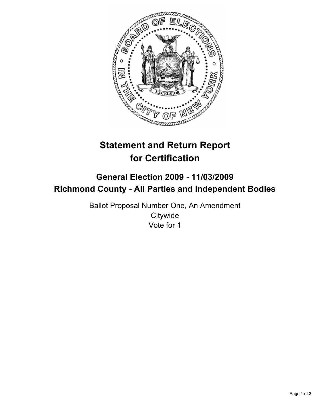

# **Statement and Return Report for Certification**

## **General Election 2009 - 11/03/2009 Richmond County - All Parties and Independent Bodies**

Ballot Proposal Number One, An Amendment **Citywide** Vote for 1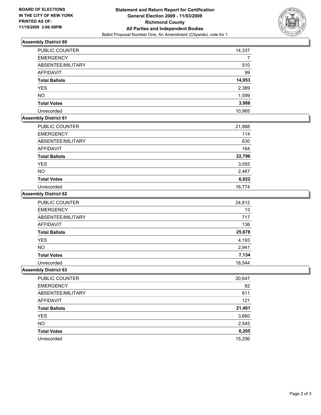

### **Assembly District 60**

| <b>PUBLIC COUNTER</b> | 14,337 |
|-----------------------|--------|
| <b>EMERGENCY</b>      |        |
| ABSENTEE/MILITARY     | 510    |
| <b>AFFIDAVIT</b>      | 99     |
| <b>Total Ballots</b>  | 14,953 |
| <b>YES</b>            | 2,389  |
| <b>NO</b>             | 1,599  |
| <b>Total Votes</b>    | 3,988  |
| Unrecorded            | 10,965 |

### **Assembly District 61**

| <b>PUBLIC COUNTER</b> | 21,888 |
|-----------------------|--------|
| <b>EMERGENCY</b>      | 114    |
| ABSENTEE/MILITARY     | 630    |
| AFFIDAVIT             | 164    |
| <b>Total Ballots</b>  | 22,796 |
| <b>YES</b>            | 3,555  |
| <b>NO</b>             | 2,467  |
| <b>Total Votes</b>    | 6,022  |
| Unrecorded            | 16.774 |

#### **Assembly District 62**

| <b>PUBLIC COUNTER</b> | 24,812 |
|-----------------------|--------|
| <b>EMERGENCY</b>      | 13     |
| ABSENTEE/MILITARY     | 717    |
| <b>AFFIDAVIT</b>      | 136    |
| <b>Total Ballots</b>  | 25,678 |
| <b>YES</b>            | 4,193  |
| <b>NO</b>             | 2,941  |
| <b>Total Votes</b>    | 7,134  |
| Unrecorded            | 18,544 |

#### **Assembly District 63**

| PUBLIC COUNTER       | 20,647 |
|----------------------|--------|
| <b>EMERGENCY</b>     | 82     |
| ABSENTEE/MILITARY    | 611    |
| AFFIDAVIT            | 121    |
| <b>Total Ballots</b> | 21,461 |
| <b>YES</b>           | 3,660  |
| <b>NO</b>            | 2,545  |
| <b>Total Votes</b>   | 6,205  |
| Unrecorded           | 15,256 |